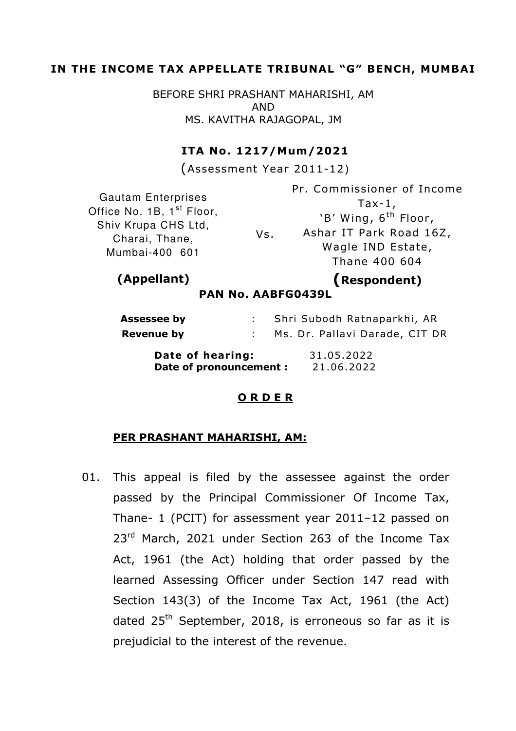## IN THE INCOME TAX APPELLATE TRIBUNAL "G" BENCH, MUMBAI

BEFORE SHRI PRASHANT MAHARISHI, AM AND MS. KAVITHA RAJAGOPAL, JM

### ITA No. 1217/Mum/2021

(Assessment Year 2011-12)

Gautam Enterprises Office No. 1B, 1<sup>st</sup> Floor, Shiv Krupa CHS Ltd, Charai, Thane, Mumbai-400 601

Vs. Pr. Commissioner of Income  $Tax-1$ , 'B' Wing, 6<sup>th</sup> Floor, Ashar IT Park Road 16Z, Wagle IND Estate, Thane 400 604

# (Appellant) (Respondent)

PAN No. AABFG0439L

| <b>Assessee by</b>      |  | Shri Subodh Ratnaparkhi, AR    |
|-------------------------|--|--------------------------------|
| Revenue by              |  | Ms. Dr. Pallavi Darade, CIT DR |
| Date of hearing:        |  | 31.05.2022                     |
| Date of pronouncement : |  | 21.06.2022                     |

### O R D E R

### PER PRASHANT MAHARISHI, AM:

01. This appeal is filed by the assessee against the order passed by the Principal Commissioner Of Income Tax, Thane- 1 (PCIT) for assessment year 2011–12 passed on 23<sup>rd</sup> March, 2021 under Section 263 of the Income Tax Act, 1961 (the Act) holding that order passed by the learned Assessing Officer under Section 147 read with Section 143(3) of the Income Tax Act, 1961 (the Act) dated  $25<sup>th</sup>$  September, 2018, is erroneous so far as it is prejudicial to the interest of the revenue.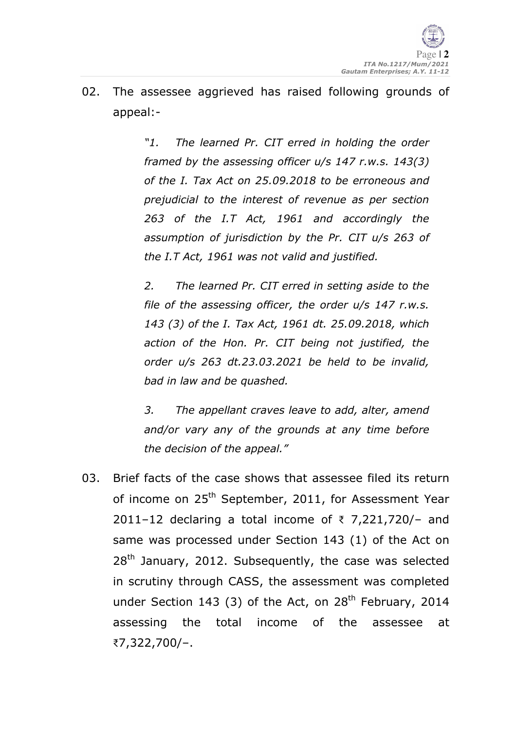02. The assessee aggrieved has raised following grounds of appeal:-

> "1. The learned Pr. CIT erred in holding the order framed by the assessing officer u/s 147 r.w.s. 143(3) of the I. Tax Act on 25.09.2018 to be erroneous and prejudicial to the interest of revenue as per section 263 of the I.T Act, 1961 and accordingly the assumption of jurisdiction by the Pr. CIT u/s 263 of the I.T Act, 1961 was not valid and justified.

> 2. The learned Pr. CIT erred in setting aside to the file of the assessing officer, the order u/s 147 r.w.s. 143 (3) of the I. Tax Act, 1961 dt. 25.09.2018, which action of the Hon. Pr. CIT being not justified, the order u/s 263 dt.23.03.2021 be held to be invalid, bad in law and be quashed.

> 3. The appellant craves leave to add, alter, amend and/or vary any of the grounds at any time before the decision of the appeal."

03. Brief facts of the case shows that assessee filed its return of income on 25<sup>th</sup> September, 2011, for Assessment Year 2011–12 declaring a total income of  $\bar{\tau}$  7,221,720/- and same was processed under Section 143 (1) of the Act on  $28<sup>th</sup>$  January, 2012. Subsequently, the case was selected in scrutiny through CASS, the assessment was completed under Section 143 (3) of the Act, on  $28<sup>th</sup>$  February, 2014 assessing the total income of the assessee at ₹7,322,700/–.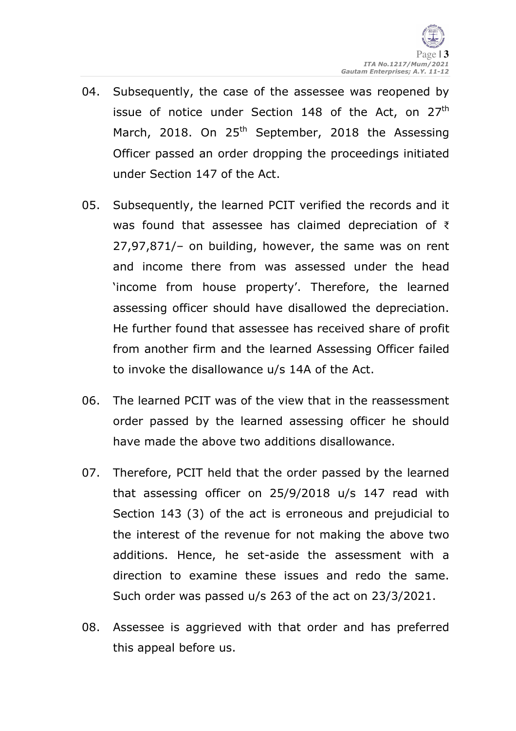- 04. Subsequently, the case of the assessee was reopened by issue of notice under Section 148 of the Act, on  $27<sup>th</sup>$ March, 2018. On 25<sup>th</sup> September, 2018 the Assessing Officer passed an order dropping the proceedings initiated under Section 147 of the Act.
- 05. Subsequently, the learned PCIT verified the records and it was found that assessee has claimed depreciation of ₹ 27,97,871/– on building, however, the same was on rent and income there from was assessed under the head 'income from house property'. Therefore, the learned assessing officer should have disallowed the depreciation. He further found that assessee has received share of profit from another firm and the learned Assessing Officer failed to invoke the disallowance u/s 14A of the Act.
- 06. The learned PCIT was of the view that in the reassessment order passed by the learned assessing officer he should have made the above two additions disallowance.
- 07. Therefore, PCIT held that the order passed by the learned that assessing officer on 25/9/2018 u/s 147 read with Section 143 (3) of the act is erroneous and prejudicial to the interest of the revenue for not making the above two additions. Hence, he set-aside the assessment with a direction to examine these issues and redo the same. Such order was passed u/s 263 of the act on 23/3/2021.
- 08. Assessee is aggrieved with that order and has preferred this appeal before us.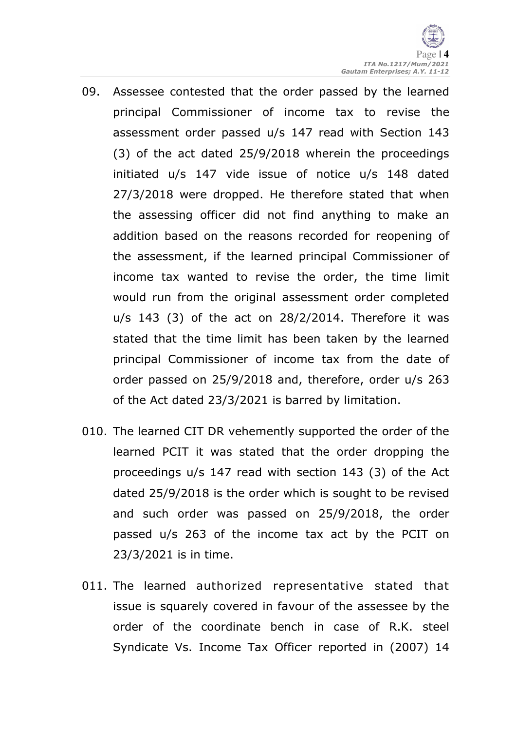

- 09. Assessee contested that the order passed by the learned principal Commissioner of income tax to revise the assessment order passed u/s 147 read with Section 143 (3) of the act dated 25/9/2018 wherein the proceedings initiated u/s 147 vide issue of notice u/s 148 dated 27/3/2018 were dropped. He therefore stated that when the assessing officer did not find anything to make an addition based on the reasons recorded for reopening of the assessment, if the learned principal Commissioner of income tax wanted to revise the order, the time limit would run from the original assessment order completed u/s 143 (3) of the act on 28/2/2014. Therefore it was stated that the time limit has been taken by the learned principal Commissioner of income tax from the date of order passed on 25/9/2018 and, therefore, order u/s 263 of the Act dated 23/3/2021 is barred by limitation.
- 010. The learned CIT DR vehemently supported the order of the learned PCIT it was stated that the order dropping the proceedings u/s 147 read with section 143 (3) of the Act dated 25/9/2018 is the order which is sought to be revised and such order was passed on 25/9/2018, the order passed u/s 263 of the income tax act by the PCIT on 23/3/2021 is in time.
- 011. The learned authorized representative stated that issue is squarely covered in favour of the assessee by the order of the coordinate bench in case of R.K. steel Syndicate Vs. Income Tax Officer reported in (2007) 14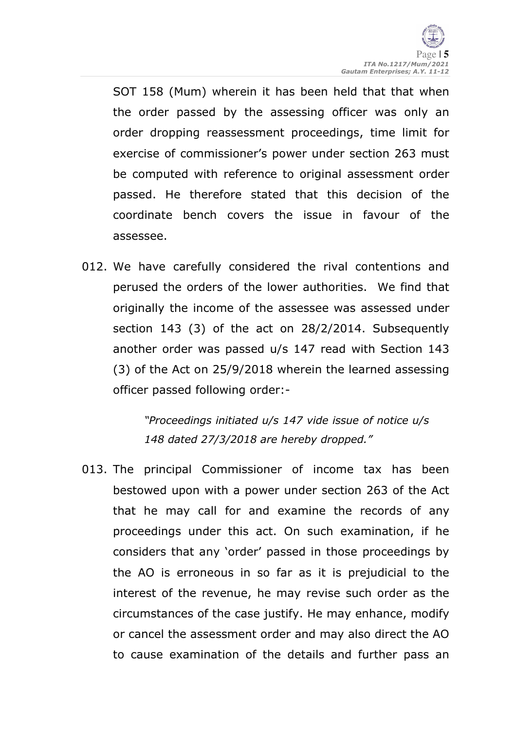SOT 158 (Mum) wherein it has been held that that when the order passed by the assessing officer was only an order dropping reassessment proceedings, time limit for exercise of commissioner's power under section 263 must be computed with reference to original assessment order passed. He therefore stated that this decision of the coordinate bench covers the issue in favour of the assessee.

012. We have carefully considered the rival contentions and perused the orders of the lower authorities. We find that originally the income of the assessee was assessed under section 143 (3) of the act on 28/2/2014. Subsequently another order was passed u/s 147 read with Section 143 (3) of the Act on 25/9/2018 wherein the learned assessing officer passed following order:-

> "Proceedings initiated u/s 147 vide issue of notice u/s 148 dated 27/3/2018 are hereby dropped."

013. The principal Commissioner of income tax has been bestowed upon with a power under section 263 of the Act that he may call for and examine the records of any proceedings under this act. On such examination, if he considers that any 'order' passed in those proceedings by the AO is erroneous in so far as it is prejudicial to the interest of the revenue, he may revise such order as the circumstances of the case justify. He may enhance, modify or cancel the assessment order and may also direct the AO to cause examination of the details and further pass an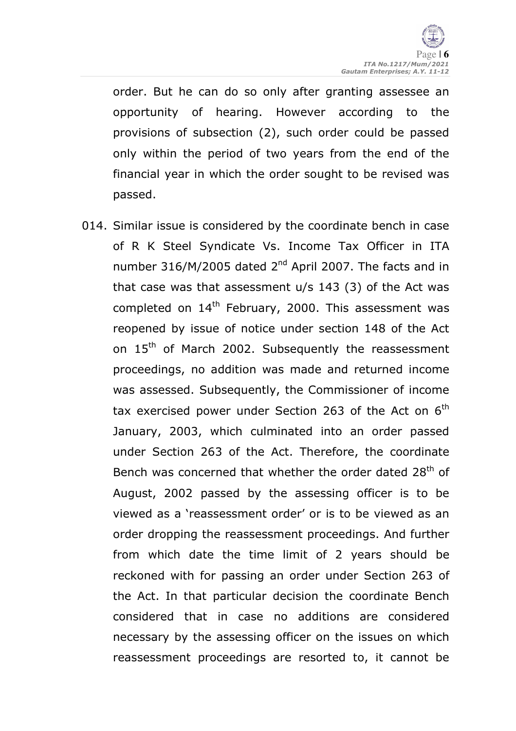order. But he can do so only after granting assessee an opportunity of hearing. However according to the provisions of subsection (2), such order could be passed only within the period of two years from the end of the financial year in which the order sought to be revised was passed.

014. Similar issue is considered by the coordinate bench in case of R K Steel Syndicate Vs. Income Tax Officer in ITA number 316/M/2005 dated  $2<sup>nd</sup>$  April 2007. The facts and in that case was that assessment u/s 143 (3) of the Act was completed on  $14<sup>th</sup>$  February, 2000. This assessment was reopened by issue of notice under section 148 of the Act on 15<sup>th</sup> of March 2002. Subsequently the reassessment proceedings, no addition was made and returned income was assessed. Subsequently, the Commissioner of income tax exercised power under Section 263 of the Act on  $6<sup>th</sup>$ January, 2003, which culminated into an order passed under Section 263 of the Act. Therefore, the coordinate Bench was concerned that whether the order dated 28<sup>th</sup> of August, 2002 passed by the assessing officer is to be viewed as a 'reassessment order' or is to be viewed as an order dropping the reassessment proceedings. And further from which date the time limit of 2 years should be reckoned with for passing an order under Section 263 of the Act. In that particular decision the coordinate Bench considered that in case no additions are considered necessary by the assessing officer on the issues on which reassessment proceedings are resorted to, it cannot be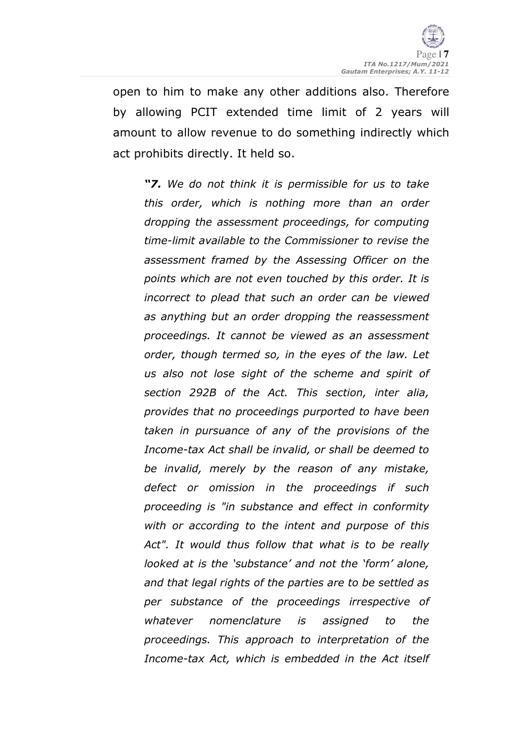

open to him to make any other additions also. Therefore by allowing PCIT extended time limit of 2 years will amount to allow revenue to do something indirectly which act prohibits directly. It held so.

"7. We do not think it is permissible for us to take this order, which is nothing more than an order dropping the assessment proceedings, for computing time-limit available to the Commissioner to revise the assessment framed by the Assessing Officer on the points which are not even touched by this order. It is incorrect to plead that such an order can be viewed as anything but an order dropping the reassessment proceedings. It cannot be viewed as an assessment order, though termed so, in the eyes of the law. Let us also not lose sight of the scheme and spirit of section 292B of the Act. This section, inter alia, provides that no proceedings purported to have been taken in pursuance of any of the provisions of the Income-tax Act shall be invalid, or shall be deemed to be invalid, merely by the reason of any mistake, defect or omission in the proceedings if such proceeding is "in substance and effect in conformity with or according to the intent and purpose of this Act". It would thus follow that what is to be really looked at is the 'substance' and not the 'form' alone, and that legal rights of the parties are to be settled as per substance of the proceedings irrespective of whatever nomenclature is assigned to the proceedings. This approach to interpretation of the Income-tax Act, which is embedded in the Act itself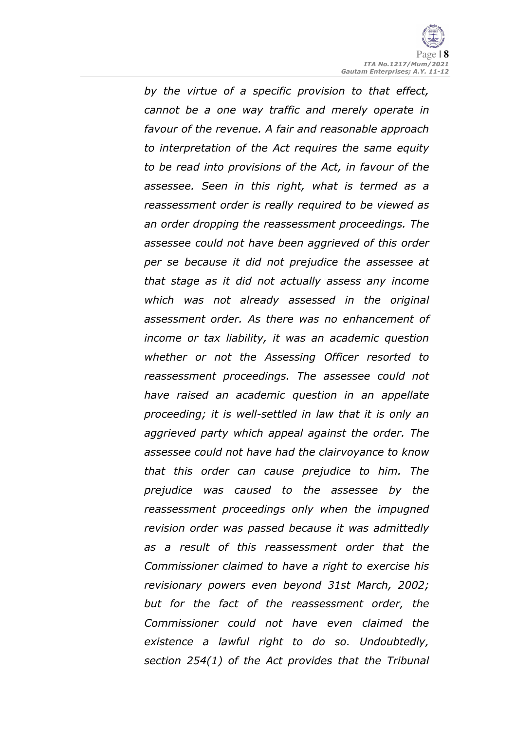by the virtue of a specific provision to that effect, cannot be a one way traffic and merely operate in favour of the revenue. A fair and reasonable approach to interpretation of the Act requires the same equity to be read into provisions of the Act, in favour of the assessee. Seen in this right, what is termed as a reassessment order is really required to be viewed as an order dropping the reassessment proceedings. The assessee could not have been aggrieved of this order per se because it did not prejudice the assessee at that stage as it did not actually assess any income which was not already assessed in the original assessment order. As there was no enhancement of income or tax liability, it was an academic question whether or not the Assessing Officer resorted to reassessment proceedings. The assessee could not have raised an academic question in an appellate proceeding; it is well-settled in law that it is only an aggrieved party which appeal against the order. The assessee could not have had the clairvoyance to know that this order can cause prejudice to him. The prejudice was caused to the assessee by the reassessment proceedings only when the impugned revision order was passed because it was admittedly as a result of this reassessment order that the Commissioner claimed to have a right to exercise his revisionary powers even beyond 31st March, 2002; but for the fact of the reassessment order, the Commissioner could not have even claimed the existence a lawful right to do so. Undoubtedly, section 254(1) of the Act provides that the Tribunal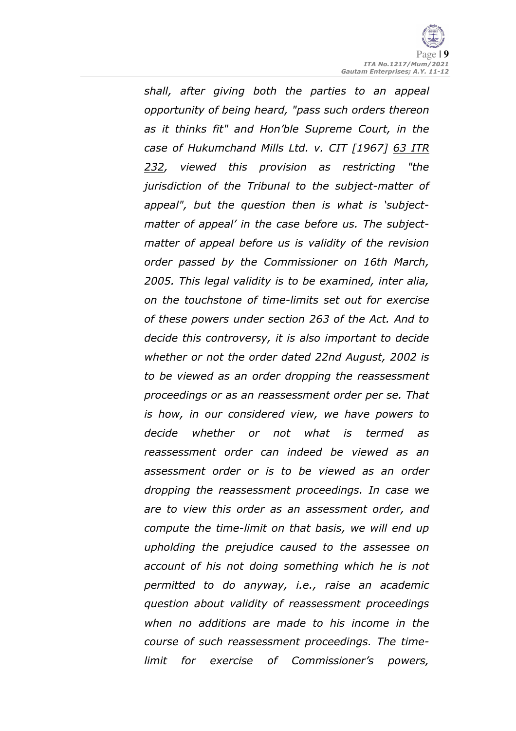shall, after giving both the parties to an appeal opportunity of being heard, "pass such orders thereon as it thinks fit" and Hon'ble Supreme Court, in the case of Hukumchand Mills Ltd. v. CIT [1967] 63 ITR 232, viewed this provision as restricting "the jurisdiction of the Tribunal to the subject-matter of appeal", but the question then is what is 'subjectmatter of appeal' in the case before us. The subjectmatter of appeal before us is validity of the revision order passed by the Commissioner on 16th March, 2005. This legal validity is to be examined, inter alia, on the touchstone of time-limits set out for exercise of these powers under section 263 of the Act. And to decide this controversy, it is also important to decide whether or not the order dated 22nd August, 2002 is to be viewed as an order dropping the reassessment proceedings or as an reassessment order per se. That is how, in our considered view, we have powers to decide whether or not what is termed as reassessment order can indeed be viewed as an assessment order or is to be viewed as an order dropping the reassessment proceedings. In case we are to view this order as an assessment order, and compute the time-limit on that basis, we will end up upholding the prejudice caused to the assessee on account of his not doing something which he is not permitted to do anyway, i.e., raise an academic question about validity of reassessment proceedings when no additions are made to his income in the course of such reassessment proceedings. The timelimit for exercise of Commissioner's powers,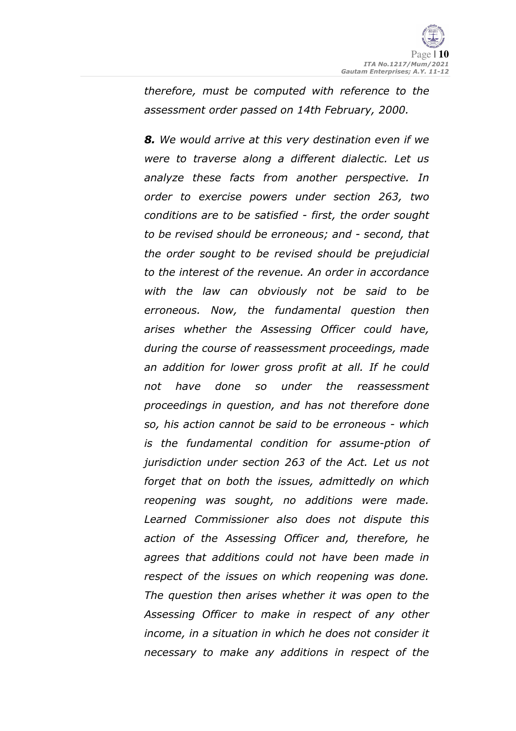therefore, must be computed with reference to the assessment order passed on 14th February, 2000.

8. We would arrive at this very destination even if we were to traverse along a different dialectic. Let us analyze these facts from another perspective. In order to exercise powers under section 263, two conditions are to be satisfied - first, the order sought to be revised should be erroneous; and - second, that the order sought to be revised should be prejudicial to the interest of the revenue. An order in accordance with the law can obviously not be said to be erroneous. Now, the fundamental question then arises whether the Assessing Officer could have, during the course of reassessment proceedings, made an addition for lower gross profit at all. If he could not have done so under the reassessment proceedings in question, and has not therefore done so, his action cannot be said to be erroneous - which is the fundamental condition for assume-ption of jurisdiction under section 263 of the Act. Let us not forget that on both the issues, admittedly on which reopening was sought, no additions were made. Learned Commissioner also does not dispute this action of the Assessing Officer and, therefore, he agrees that additions could not have been made in respect of the issues on which reopening was done. The question then arises whether it was open to the Assessing Officer to make in respect of any other income, in a situation in which he does not consider it necessary to make any additions in respect of the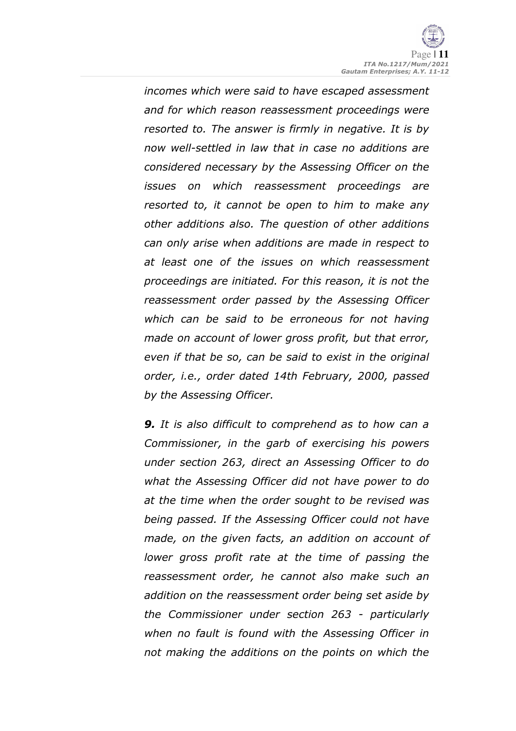incomes which were said to have escaped assessment and for which reason reassessment proceedings were resorted to. The answer is firmly in negative. It is by now well-settled in law that in case no additions are considered necessary by the Assessing Officer on the issues on which reassessment proceedings are resorted to, it cannot be open to him to make any other additions also. The question of other additions can only arise when additions are made in respect to at least one of the issues on which reassessment proceedings are initiated. For this reason, it is not the reassessment order passed by the Assessing Officer which can be said to be erroneous for not having made on account of lower gross profit, but that error, even if that be so, can be said to exist in the original order, i.e., order dated 14th February, 2000, passed by the Assessing Officer.

**9.** It is also difficult to comprehend as to how can a Commissioner, in the garb of exercising his powers under section 263, direct an Assessing Officer to do what the Assessing Officer did not have power to do at the time when the order sought to be revised was being passed. If the Assessing Officer could not have made, on the given facts, an addition on account of lower gross profit rate at the time of passing the reassessment order, he cannot also make such an addition on the reassessment order being set aside by the Commissioner under section 263 - particularly when no fault is found with the Assessing Officer in not making the additions on the points on which the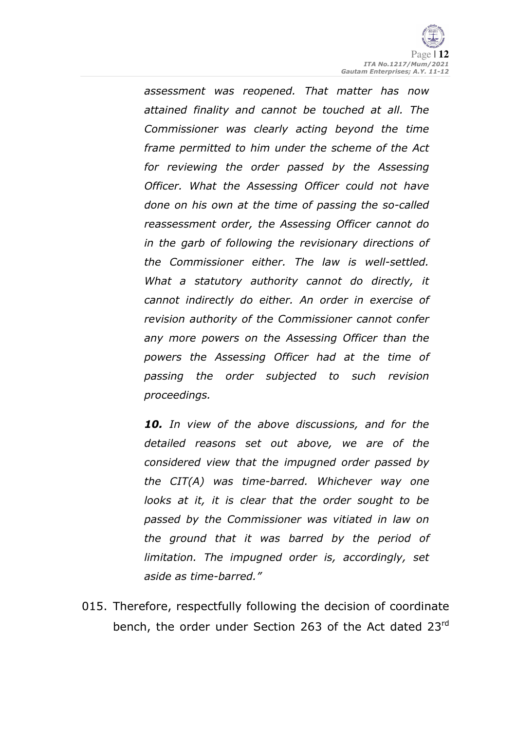assessment was reopened. That matter has now attained finality and cannot be touched at all. The Commissioner was clearly acting beyond the time frame permitted to him under the scheme of the Act for reviewing the order passed by the Assessing Officer. What the Assessing Officer could not have done on his own at the time of passing the so-called reassessment order, the Assessing Officer cannot do in the garb of following the revisionary directions of the Commissioner either. The law is well-settled. What a statutory authority cannot do directly, it cannot indirectly do either. An order in exercise of revision authority of the Commissioner cannot confer any more powers on the Assessing Officer than the powers the Assessing Officer had at the time of passing the order subjected to such revision proceedings.

10. In view of the above discussions, and for the detailed reasons set out above, we are of the considered view that the impugned order passed by the CIT(A) was time-barred. Whichever way one looks at it, it is clear that the order sought to be passed by the Commissioner was vitiated in law on the ground that it was barred by the period of limitation. The impugned order is, accordingly, set aside as time-barred."

015. Therefore, respectfully following the decision of coordinate bench, the order under Section 263 of the Act dated 23<sup>rd</sup>